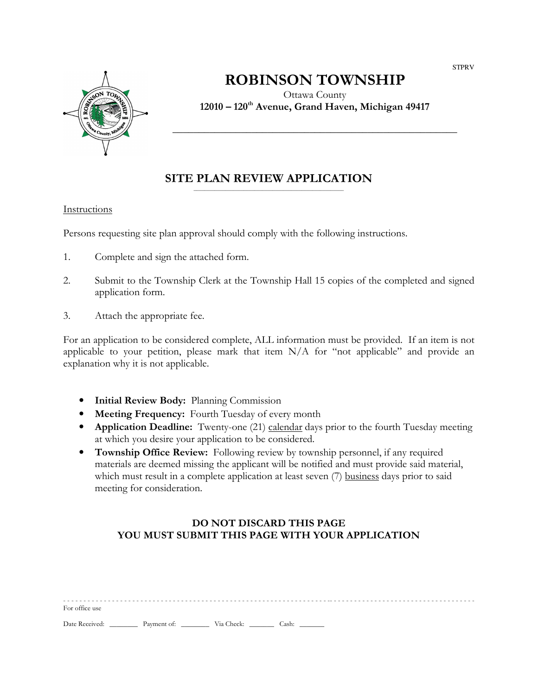

# ROBINSON TOWNSHIP

Ottawa County 12010 – 120th Avenue, Grand Haven, Michigan 49417

\_\_\_\_\_\_\_\_\_\_\_\_\_\_\_\_\_\_\_\_\_\_\_\_\_\_\_\_\_\_\_\_\_\_\_\_\_\_\_\_\_\_\_\_\_\_\_\_\_\_\_\_\_\_

#### SITE PLAN REVIEW APPLICATION  $\overline{\phantom{a}}$  , and the contract of the contract of the contract of the contract of the contract of the contract of the contract of the contract of the contract of the contract of the contract of the contract of the contrac

#### Instructions

Persons requesting site plan approval should comply with the following instructions.

- 1. Complete and sign the attached form.
- 2. Submit to the Township Clerk at the Township Hall 15 copies of the completed and signed application form.
- 3. Attach the appropriate fee.

For an application to be considered complete, ALL information must be provided. If an item is not applicable to your petition, please mark that item N/A for "not applicable" and provide an explanation why it is not applicable.

- Initial Review Body: Planning Commission
- Meeting Frequency: Fourth Tuesday of every month
- Application Deadline: Twenty-one (21) calendar days prior to the fourth Tuesday meeting at which you desire your application to be considered.
- Township Office Review: Following review by township personnel, if any required materials are deemed missing the applicant will be notified and must provide said material, which must result in a complete application at least seven (7) business days prior to said meeting for consideration.

### DO NOT DISCARD THIS PAGE YOU MUST SUBMIT THIS PAGE WITH YOUR APPLICATION

| For office use |             |            |       |  |
|----------------|-------------|------------|-------|--|
| Date Received: | Payment of: | Via Check: | Cash: |  |

**STPRV**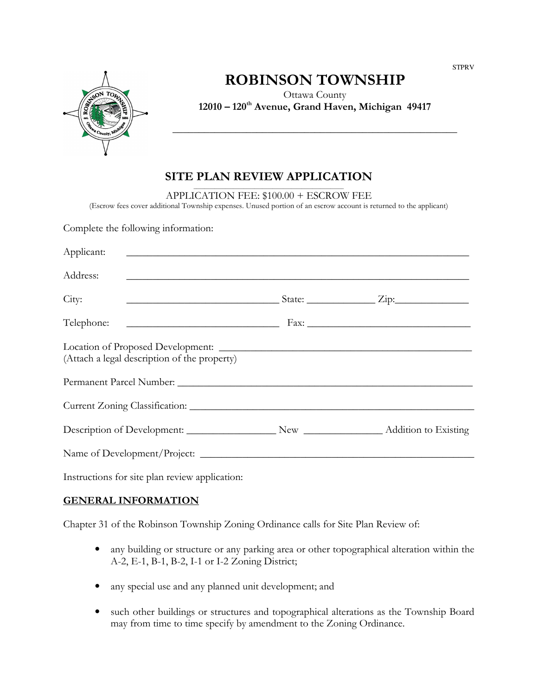

# ROBINSON TOWNSHIP

Ottawa County 12010 – 120th Avenue, Grand Haven, Michigan 49417

\_\_\_\_\_\_\_\_\_\_\_\_\_\_\_\_\_\_\_\_\_\_\_\_\_\_\_\_\_\_\_\_\_\_\_\_\_\_\_\_\_\_\_\_\_\_\_\_\_\_\_\_\_\_

### SITE PLAN REVIEW APPLICATION

 $\overline{\phantom{a}}$  , and the contract of the contract of the contract of the contract of the contract of the contract of the contract of the contract of the contract of the contract of the contract of the contract of the contrac APPLICATION FEE: \$100.00 + ESCROW FEE

(Escrow fees cover additional Township expenses. Unused portion of an escrow account is returned to the applicant)

Complete the following information:

| (Attach a legal description of the property) |  |                                                                                                                                                                                                                                                                                                                                                     |  |  |  |
|----------------------------------------------|--|-----------------------------------------------------------------------------------------------------------------------------------------------------------------------------------------------------------------------------------------------------------------------------------------------------------------------------------------------------|--|--|--|
|                                              |  |                                                                                                                                                                                                                                                                                                                                                     |  |  |  |
|                                              |  |                                                                                                                                                                                                                                                                                                                                                     |  |  |  |
|                                              |  |                                                                                                                                                                                                                                                                                                                                                     |  |  |  |
|                                              |  |                                                                                                                                                                                                                                                                                                                                                     |  |  |  |
|                                              |  | <u> 1989 - Andrea Stadt Brander, amerikansk politiker (d. 1989)</u><br><u> Andreas Andreas Andreas Andreas Andreas Andreas Andreas Andreas Andreas Andreas Andreas Andreas Andreas Andr</u><br>$\frac{1}{2}$ State: $\frac{1}{2}$ Zip:<br><u> 1980 - Andrea Andrew Maria (h. 1980).</u><br>Description of Development: New New Addition to Existing |  |  |  |

Instructions for site plan review application:

#### GENERAL INFORMATION

Chapter 31 of the Robinson Township Zoning Ordinance calls for Site Plan Review of:

- any building or structure or any parking area or other topographical alteration within the A-2, E-1, B-1, B-2, I-1 or I-2 Zoning District;
- any special use and any planned unit development; and
- such other buildings or structures and topographical alterations as the Township Board may from time to time specify by amendment to the Zoning Ordinance.

**STPRV**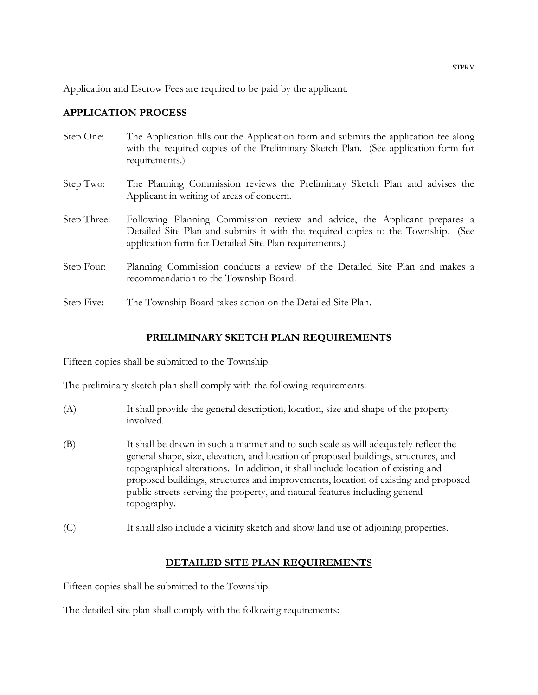Application and Escrow Fees are required to be paid by the applicant.

#### APPLICATION PROCESS

- Step One: The Application fills out the Application form and submits the application fee along with the required copies of the Preliminary Sketch Plan. (See application form for requirements.)
- Step Two: The Planning Commission reviews the Preliminary Sketch Plan and advises the Applicant in writing of areas of concern.
- Step Three: Following Planning Commission review and advice, the Applicant prepares a Detailed Site Plan and submits it with the required copies to the Township. (See application form for Detailed Site Plan requirements.)
- Step Four: Planning Commission conducts a review of the Detailed Site Plan and makes a recommendation to the Township Board.
- Step Five: The Township Board takes action on the Detailed Site Plan.

#### PRELIMINARY SKETCH PLAN REQUIREMENTS

Fifteen copies shall be submitted to the Township.

The preliminary sketch plan shall comply with the following requirements:

- (A) It shall provide the general description, location, size and shape of the property involved.
- (B) It shall be drawn in such a manner and to such scale as will adequately reflect the general shape, size, elevation, and location of proposed buildings, structures, and topographical alterations. In addition, it shall include location of existing and proposed buildings, structures and improvements, location of existing and proposed public streets serving the property, and natural features including general topography.
- (C) It shall also include a vicinity sketch and show land use of adjoining properties.

### DETAILED SITE PLAN REQUIREMENTS

Fifteen copies shall be submitted to the Township.

The detailed site plan shall comply with the following requirements: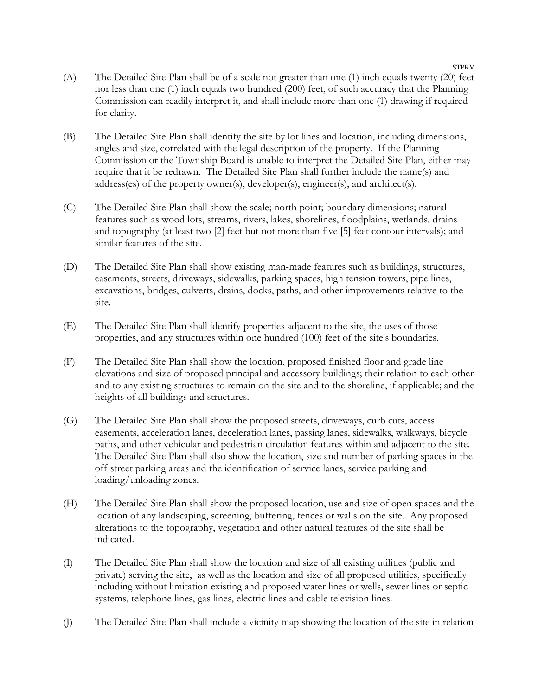- (A) The Detailed Site Plan shall be of a scale not greater than one (1) inch equals twenty (20) feet nor less than one (1) inch equals two hundred (200) feet, of such accuracy that the Planning Commission can readily interpret it, and shall include more than one (1) drawing if required for clarity.
- (B) The Detailed Site Plan shall identify the site by lot lines and location, including dimensions, angles and size, correlated with the legal description of the property. If the Planning Commission or the Township Board is unable to interpret the Detailed Site Plan, either may require that it be redrawn. The Detailed Site Plan shall further include the name(s) and address(es) of the property owner(s), developer(s), engineer(s), and architect(s).
- (C) The Detailed Site Plan shall show the scale; north point; boundary dimensions; natural features such as wood lots, streams, rivers, lakes, shorelines, floodplains, wetlands, drains and topography (at least two [2] feet but not more than five [5] feet contour intervals); and similar features of the site.
- (D) The Detailed Site Plan shall show existing man-made features such as buildings, structures, easements, streets, driveways, sidewalks, parking spaces, high tension towers, pipe lines, excavations, bridges, culverts, drains, docks, paths, and other improvements relative to the site.
- (E) The Detailed Site Plan shall identify properties adjacent to the site, the uses of those properties, and any structures within one hundred (100) feet of the site's boundaries.
- (F) The Detailed Site Plan shall show the location, proposed finished floor and grade line elevations and size of proposed principal and accessory buildings; their relation to each other and to any existing structures to remain on the site and to the shoreline, if applicable; and the heights of all buildings and structures.
- (G) The Detailed Site Plan shall show the proposed streets, driveways, curb cuts, access easements, acceleration lanes, deceleration lanes, passing lanes, sidewalks, walkways, bicycle paths, and other vehicular and pedestrian circulation features within and adjacent to the site. The Detailed Site Plan shall also show the location, size and number of parking spaces in the off-street parking areas and the identification of service lanes, service parking and loading/unloading zones.
- (H) The Detailed Site Plan shall show the proposed location, use and size of open spaces and the location of any landscaping, screening, buffering, fences or walls on the site. Any proposed alterations to the topography, vegetation and other natural features of the site shall be indicated.
- (I) The Detailed Site Plan shall show the location and size of all existing utilities (public and private) serving the site, as well as the location and size of all proposed utilities, specifically including without limitation existing and proposed water lines or wells, sewer lines or septic systems, telephone lines, gas lines, electric lines and cable television lines.
- (J) The Detailed Site Plan shall include a vicinity map showing the location of the site in relation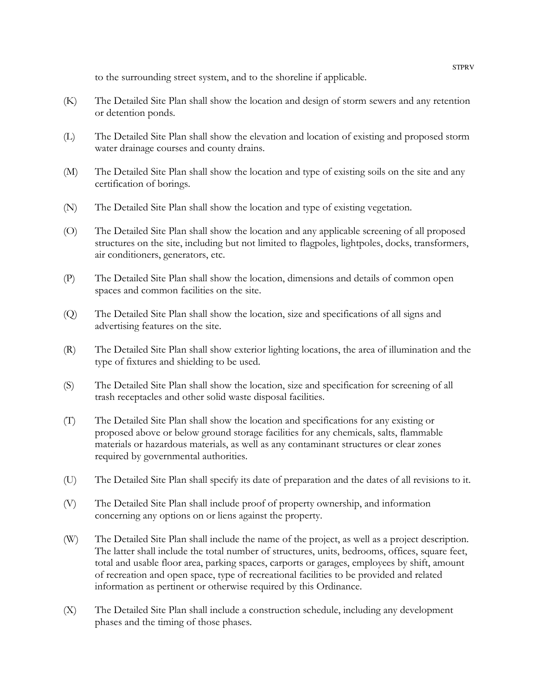to the surrounding street system, and to the shoreline if applicable.

- (K) The Detailed Site Plan shall show the location and design of storm sewers and any retention or detention ponds.
- (L) The Detailed Site Plan shall show the elevation and location of existing and proposed storm water drainage courses and county drains.
- (M) The Detailed Site Plan shall show the location and type of existing soils on the site and any certification of borings.
- (N) The Detailed Site Plan shall show the location and type of existing vegetation.
- (O) The Detailed Site Plan shall show the location and any applicable screening of all proposed structures on the site, including but not limited to flagpoles, lightpoles, docks, transformers, air conditioners, generators, etc.
- (P) The Detailed Site Plan shall show the location, dimensions and details of common open spaces and common facilities on the site.
- (Q) The Detailed Site Plan shall show the location, size and specifications of all signs and advertising features on the site.
- (R) The Detailed Site Plan shall show exterior lighting locations, the area of illumination and the type of fixtures and shielding to be used.
- (S) The Detailed Site Plan shall show the location, size and specification for screening of all trash receptacles and other solid waste disposal facilities.
- (T) The Detailed Site Plan shall show the location and specifications for any existing or proposed above or below ground storage facilities for any chemicals, salts, flammable materials or hazardous materials, as well as any contaminant structures or clear zones required by governmental authorities.
- (U) The Detailed Site Plan shall specify its date of preparation and the dates of all revisions to it.
- (V) The Detailed Site Plan shall include proof of property ownership, and information concerning any options on or liens against the property.
- (W) The Detailed Site Plan shall include the name of the project, as well as a project description. The latter shall include the total number of structures, units, bedrooms, offices, square feet, total and usable floor area, parking spaces, carports or garages, employees by shift, amount of recreation and open space, type of recreational facilities to be provided and related information as pertinent or otherwise required by this Ordinance.
- (X) The Detailed Site Plan shall include a construction schedule, including any development phases and the timing of those phases.